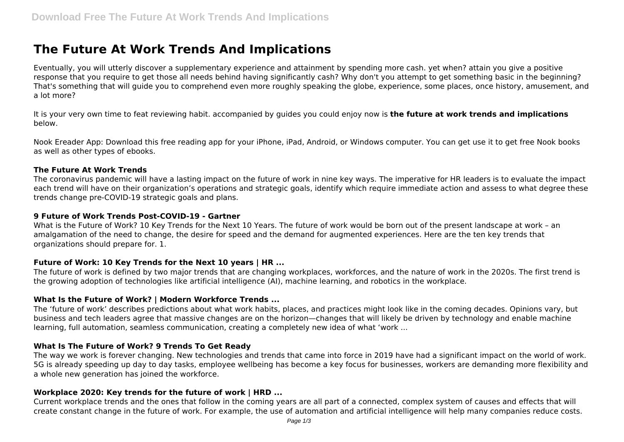# **The Future At Work Trends And Implications**

Eventually, you will utterly discover a supplementary experience and attainment by spending more cash. yet when? attain you give a positive response that you require to get those all needs behind having significantly cash? Why don't you attempt to get something basic in the beginning? That's something that will guide you to comprehend even more roughly speaking the globe, experience, some places, once history, amusement, and a lot more?

It is your very own time to feat reviewing habit. accompanied by guides you could enjoy now is **the future at work trends and implications** below.

Nook Ereader App: Download this free reading app for your iPhone, iPad, Android, or Windows computer. You can get use it to get free Nook books as well as other types of ebooks.

#### **The Future At Work Trends**

The coronavirus pandemic will have a lasting impact on the future of work in nine key ways. The imperative for HR leaders is to evaluate the impact each trend will have on their organization's operations and strategic goals, identify which require immediate action and assess to what degree these trends change pre-COVID-19 strategic goals and plans.

## **9 Future of Work Trends Post-COVID-19 - Gartner**

What is the Future of Work? 10 Key Trends for the Next 10 Years. The future of work would be born out of the present landscape at work – an amalgamation of the need to change, the desire for speed and the demand for augmented experiences. Here are the ten key trends that organizations should prepare for. 1.

# **Future of Work: 10 Key Trends for the Next 10 years | HR ...**

The future of work is defined by two major trends that are changing workplaces, workforces, and the nature of work in the 2020s. The first trend is the growing adoption of technologies like artificial intelligence (AI), machine learning, and robotics in the workplace.

# **What Is the Future of Work? | Modern Workforce Trends ...**

The 'future of work' describes predictions about what work habits, places, and practices might look like in the coming decades. Opinions vary, but business and tech leaders agree that massive changes are on the horizon—changes that will likely be driven by technology and enable machine learning, full automation, seamless communication, creating a completely new idea of what 'work ...

#### **What Is The Future of Work? 9 Trends To Get Ready**

The way we work is forever changing. New technologies and trends that came into force in 2019 have had a significant impact on the world of work. 5G is already speeding up day to day tasks, employee wellbeing has become a key focus for businesses, workers are demanding more flexibility and a whole new generation has joined the workforce.

#### **Workplace 2020: Key trends for the future of work | HRD ...**

Current workplace trends and the ones that follow in the coming years are all part of a connected, complex system of causes and effects that will create constant change in the future of work. For example, the use of automation and artificial intelligence will help many companies reduce costs.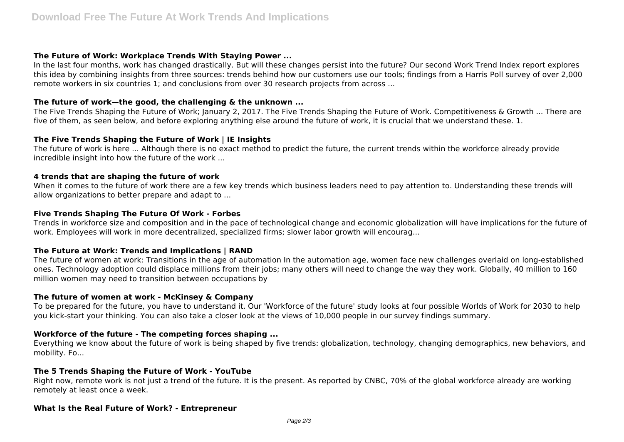#### **The Future of Work: Workplace Trends With Staying Power ...**

In the last four months, work has changed drastically. But will these changes persist into the future? Our second Work Trend Index report explores this idea by combining insights from three sources: trends behind how our customers use our tools; findings from a Harris Poll survey of over 2,000 remote workers in six countries 1; and conclusions from over 30 research projects from across ...

## **The future of work—the good, the challenging & the unknown ...**

The Five Trends Shaping the Future of Work; January 2, 2017. The Five Trends Shaping the Future of Work. Competitiveness & Growth ... There are five of them, as seen below, and before exploring anything else around the future of work, it is crucial that we understand these. 1.

# **The Five Trends Shaping the Future of Work | IE Insights**

The future of work is here ... Although there is no exact method to predict the future, the current trends within the workforce already provide incredible insight into how the future of the work ...

#### **4 trends that are shaping the future of work**

When it comes to the future of work there are a few key trends which business leaders need to pay attention to. Understanding these trends will allow organizations to better prepare and adapt to ...

## **Five Trends Shaping The Future Of Work - Forbes**

Trends in workforce size and composition and in the pace of technological change and economic globalization will have implications for the future of work. Employees will work in more decentralized, specialized firms; slower labor growth will encourag...

# **The Future at Work: Trends and Implications | RAND**

The future of women at work: Transitions in the age of automation In the automation age, women face new challenges overlaid on long-established ones. Technology adoption could displace millions from their jobs; many others will need to change the way they work. Globally, 40 million to 160 million women may need to transition between occupations by

#### **The future of women at work - McKinsey & Company**

To be prepared for the future, you have to understand it. Our 'Workforce of the future' study looks at four possible Worlds of Work for 2030 to help you kick-start your thinking. You can also take a closer look at the views of 10,000 people in our survey findings summary.

# **Workforce of the future - The competing forces shaping ...**

Everything we know about the future of work is being shaped by five trends: globalization, technology, changing demographics, new behaviors, and mobility. Fo...

#### **The 5 Trends Shaping the Future of Work - YouTube**

Right now, remote work is not just a trend of the future. It is the present. As reported by CNBC, 70% of the global workforce already are working remotely at least once a week.

#### **What Is the Real Future of Work? - Entrepreneur**